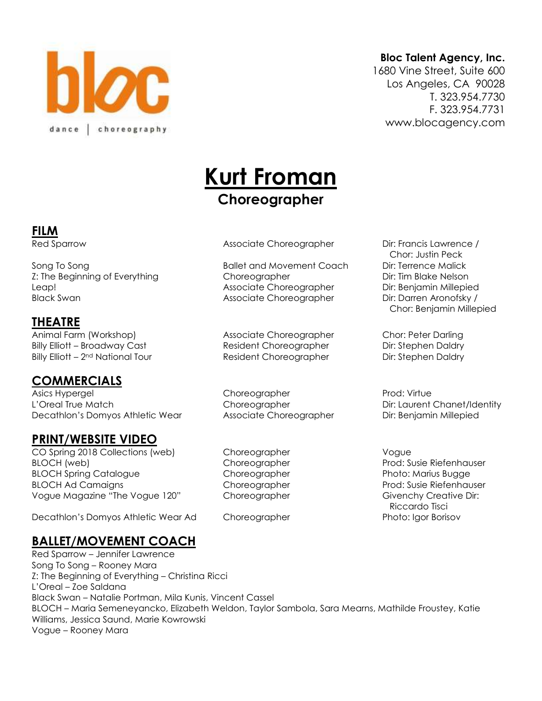

#### **Bloc Talent Agency, Inc.**

1680 Vine Street, Suite 600 Los Angeles, CA 90028 T. 323.954.7730 F. 323.954.7731 www.blocagency.com

# **Kurt Froman Choreographer**

**FILM**

Song To Song **Ballet and Movement Coach** Dir: Terrence Malick Z: The Beginning of Everything Choreographer Choreographer Dir: Tim Blake Nelson Leap! Associate Choreographer Dir: Benjamin Millepied Black Swan **Associate Choreographer** Dir: Darren Aronofsky /

#### **THEATRE**

Animal Farm (Workshop) Associate Choreographer Chor: Peter Darling Billy Elliott – Broadway Cast Resident Choreographer Dir: Stephen Daldry Billy Elliott – 2<sup>nd</sup> National Tour **Resident Choreographer** Dir: Stephen Daldry

## **COMMERCIALS**

Asics Hypergel **Choreographer** Prod: Virtue Choreographer L'Oreal True Match Choreographer Choreographer Dir: Laurent Chanet/Identity Decathlon's Domyos Athletic Wear Associate Choreographer Dir: Benjamin Millepied

#### **PRINT/WEBSITE VIDEO**

CO Spring 2018 Collections (web) Choreographer CO Spring 2018 Collections (web) BLOCH (web) **Choreographer Prod: Susie Riefenhauser** Choreographer Prod: Susie Riefenhauser BLOCH Spring Catalogue Choreographer Photo: Marius Bugge BLOCH Ad Camaigns **BLOCH Ad Camaigns** Choreographer **Prod: Susie Riefenhauser** Vogue Magazine "The Vogue 120" Choreographer Chore Givenchy Creative Dir:

Decathlon's Domyos Athletic Wear Ad Choreographer Photo: Igor Borisov

## **BALLET/MOVEMENT COACH**

Red Sparrow – Jennifer Lawrence Song To Song – Rooney Mara Z: The Beginning of Everything – Christina Ricci L'Oreal – Zoe Saldana Black Swan – Natalie Portman, Mila Kunis, Vincent Cassel BLOCH – Maria Semeneyancko, Elizabeth Weldon, Taylor Sambola, Sara Mearns, Mathilde Froustey, Katie Williams, Jessica Saund, Marie Kowrowski Vogue – Rooney Mara

Red Sparrow **Associate Choreographer** Dir: Francis Lawrence /

 Chor: Justin Peck Chor: Benjamin Millepied

Riccardo Tisci